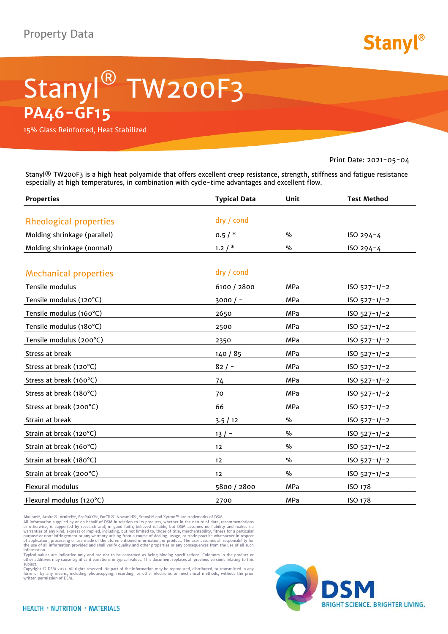

## Stanyl® TW200F3 **PA46-GF15**

15% Glass Reinforced, Heat Stabilized

Print Date: 2021-05-04

Stanyl® TW200F3 is a high heat polyamide that offers excellent creep resistance, strength, stiffness and fatigue resistance especially at high temperatures, in combination with cycle-time advantages and excellent flow.

| <b>Properties</b>             | <b>Typical Data</b> | Unit          | <b>Test Method</b> |
|-------------------------------|---------------------|---------------|--------------------|
| <b>Rheological properties</b> | dry / cond          |               |                    |
| Molding shrinkage (parallel)  | 0.5/                | $\frac{0}{0}$ | ISO 294-4          |
|                               |                     |               |                    |
| Molding shrinkage (normal)    | 1.2/                | $\%$          | ISO 294-4          |
| <b>Mechanical properties</b>  | dry / cond          |               |                    |
| Tensile modulus               | 6100 / 2800         | MPa           | $ISO 527-1/-2$     |
| Tensile modulus (120°C)       | $3000 / -$          | MPa           | $ISO 527-1/-2$     |
| Tensile modulus (160°C)       | 2650                | <b>MPa</b>    | $ISO 527-1/-2$     |
| Tensile modulus (180°C)       | 2500                | <b>MPa</b>    | $ISO 527-1/-2$     |
| Tensile modulus (200°C)       | 2350                | <b>MPa</b>    | $ISO 527-1/-2$     |
| Stress at break               | 140/85              | MPa           | $ISO 527-1/-2$     |
| Stress at break (120°C)       | $82/ -$             | MPa           | $ISO 527-1/-2$     |
| Stress at break (160°C)       | 74                  | MPa           | $ISO 527-1/-2$     |
| Stress at break (180°C)       | 70                  | <b>MPa</b>    | $ISO 527-1/-2$     |
| Stress at break (200°C)       | 66                  | <b>MPa</b>    | $ISO 527-1/-2$     |
| Strain at break               | 3.5/12              | $\%$          | $ISO 527-1/-2$     |
| Strain at break (120°C)       | $13/ -$             | $\frac{9}{6}$ | $ISO 527-1/-2$     |
| Strain at break (160°C)       | 12                  | $\%$          | $ISO 527-1/-2$     |
| Strain at break (180°C)       | 12                  | $\%$          | $ISO 527-1/-2$     |
| Strain at break (200°C)       | 12                  | $\%$          | $ISO 527-1/-2$     |
| Flexural modulus              | 5800 / 2800         | <b>MPa</b>    | ISO 178            |
| Flexural modulus (120°C)      | 2700                | <b>MPa</b>    | ISO 178            |

Akulon®, Arnite®, Arnitel®, EcoPaXX®, ForTii®, Novamid®, Stanyl® and Xytron™ are trademarks of DSM.<br>All information supplied by or on behalf of DSM in relation to its products, whether in the nature of data, recommendation

information.<br>Typical values are indicative only and are not to be construed as being binding specifications. Colorants in the product or<br>other additives may cause significant variations in typical values. This document rep

Copyright © DSM 2021. All rights reserved. No part of the information may be reproduced, distributed, or transmitted in any form or by any means, including photocopying, recording, or other electronic or mechanical methods, without the prior written permission of DSM.

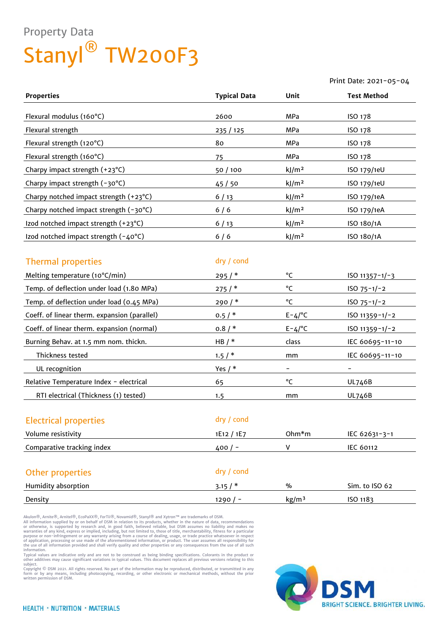## Property Data Stanyl<sup>®</sup> TW200F3

|                                           |                     |                   | Print Date: 2021-05-04 |
|-------------------------------------------|---------------------|-------------------|------------------------|
| <b>Properties</b>                         | <b>Typical Data</b> | Unit              | <b>Test Method</b>     |
| Flexural modulus (160°C)                  | 2600                | <b>MPa</b>        | ISO 178                |
| Flexural strength                         | 235 / 125           | <b>MPa</b>        | ISO 178                |
| Flexural strength (120°C)                 | 80                  | MPa               | ISO 178                |
| Flexural strength (160°C)                 | 75                  | MPa               | ISO 178                |
| Charpy impact strength (+23°C)            | 50/100              | kJ/m <sup>2</sup> | ISO 179/1eU            |
| Charpy impact strength (-30°C)            | 45 / 50             | kJ/m <sup>2</sup> | ISO 179/1eU            |
| Charpy notched impact strength (+23°C)    | $6/13$              | kJ/m <sup>2</sup> | ISO 179/1eA            |
| Charpy notched impact strength (-30°C)    | $6/6$               | kJ/m <sup>2</sup> | ISO 179/1eA            |
| Izod notched impact strength (+23°C)      | 6/13                | kJ/m <sup>2</sup> | ISO 180/1A             |
| Izod notched impact strength (-40°C)      | $6/6$               | kJ/m <sup>2</sup> | ISO 180/1A             |
|                                           |                     |                   |                        |
| <b>Thermal properties</b>                 | dry / cond          |                   |                        |
| Melting temperature (10°C/min)            | 295/                | °C                | ISO $11357 - 1/-3$     |
| Temp. of deflection under load (1.80 MPa) | 275/                | °C                | $ISO 75-1/-2$          |
| Temp. of deflection under load (0.45 MPa) | $290/$ *            | °C                | $ISO 75-1/-2$          |
|                                           |                     |                   |                        |

| Coeff. of linear therm. expansion (normal) | 0.8/       | $E - \frac{L}{C}$ | $ISO 11359 - 1/-2$ |
|--------------------------------------------|------------|-------------------|--------------------|
| Burning Behav. at 1.5 mm nom. thickn.      | HB $/*$    | class             | IEC 60695-11-10    |
| Thickness tested                           | $1.5/$ *   | mm                | IEC 60695-11-10    |
| UL recognition                             | Yes $/*$   | -                 |                    |
| Relative Temperature Index - electrical    | 65         | °C                | UL746B             |
| RTI electrical (Thickness (1) tested)      | 1.5        | mm                | UL746B             |
|                                            |            |                   |                    |
| <b>Electrical properties</b>               | dry / cond |                   |                    |

Coeff. of linear therm. expansion (parallel)  $0.5 / *$  E-4/°C ISO 11359-1/-2

| Volume resistivity         | 1E12 / 1E7 | $Ohm*m$           | IEC $62631 - 3 - 1$ |  |
|----------------------------|------------|-------------------|---------------------|--|
| Comparative tracking index | $400/-$    | v                 | <b>IEC 60112</b>    |  |
|                            |            |                   |                     |  |
| Other properties           | dry / cond |                   |                     |  |
| Humidity absorption        | 3.15/      | $\%$              | Sim. to ISO 62      |  |
| Density                    | 1290/      | kg/m <sup>3</sup> | ISO 1183            |  |

Akulon®, Arnite®, Arnitel®, EcoPaXX®, ForTii®, Novamid®, Stanyl® and Xytron™ are trademarks of DSM.<br>All information supplied by or on behalf of DSM in relation to its products, whether in the nature of data, recommendation warranties of any kind, express or implied, including, but not limited to, those of title, merchantability, fitness for a particular<br>purpose or non–infringement or any warranty arising from a course of dealing, usage, or t

information.<br>Typical values are indicative only and are not to be construed as being binding specifications. Colorants in the product or<br>other additives may cause significant variations in typical values. This document rep

subject.<br>Copyright © DSM 2021. All rights reserved. No part of the information may be reproduced, distributed, or transmitted in any form or by any means, including photocopying, recording, or other electronic or mechanical methods, without the prior written permission of DSM.